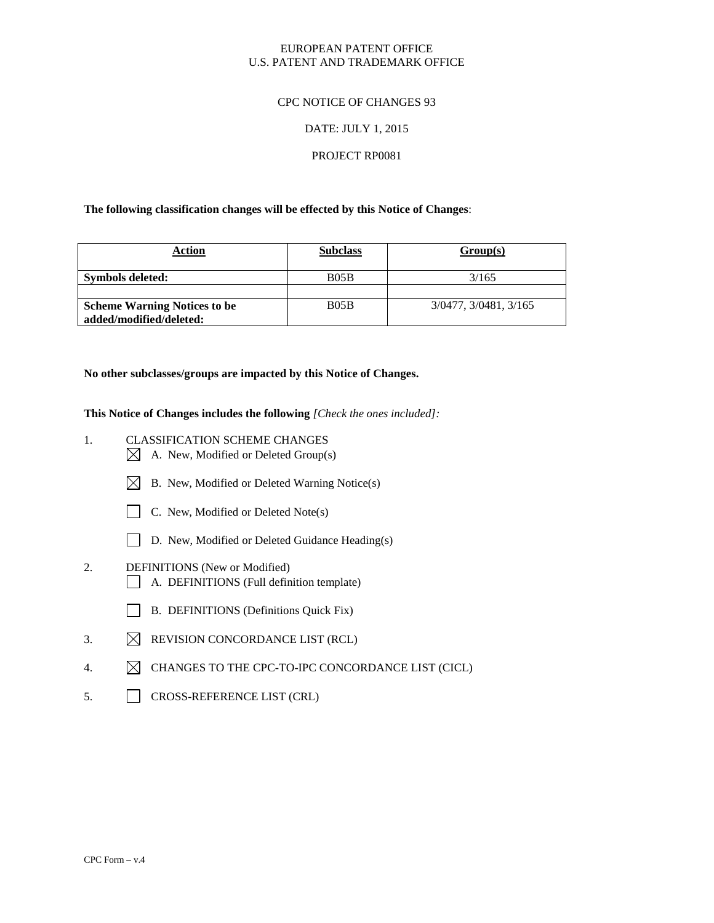# EUROPEAN PATENT OFFICE U.S. PATENT AND TRADEMARK OFFICE

# CPC NOTICE OF CHANGES 93

### DATE: JULY 1, 2015

### PROJECT RP0081

### **The following classification changes will be effected by this Notice of Changes**:

| Action                                                         | <b>Subclass</b> | Group(s)              |
|----------------------------------------------------------------|-----------------|-----------------------|
| Symbols deleted:                                               | B05B            | 3/165                 |
| <b>Scheme Warning Notices to be</b><br>added/modified/deleted: | B05B            | 3/0477, 3/0481, 3/165 |

### **No other subclasses/groups are impacted by this Notice of Changes.**

**This Notice of Changes includes the following** *[Check the ones included]:*

- 1. CLASSIFICATION SCHEME CHANGES
	- $\boxtimes$  A. New, Modified or Deleted Group(s)
	- $\boxtimes$  B. New, Modified or Deleted Warning Notice(s)
	- C. New, Modified or Deleted Note(s)
	- D. New, Modified or Deleted Guidance Heading(s)
- 2. DEFINITIONS (New or Modified) A. DEFINITIONS (Full definition template)
	- B. DEFINITIONS (Definitions Quick Fix)
- 3.  $\boxtimes$  REVISION CONCORDANCE LIST (RCL)
- 4. CHANGES TO THE CPC-TO-IPC CONCORDANCE LIST (CICL)
- 5. CROSS-REFERENCE LIST (CRL)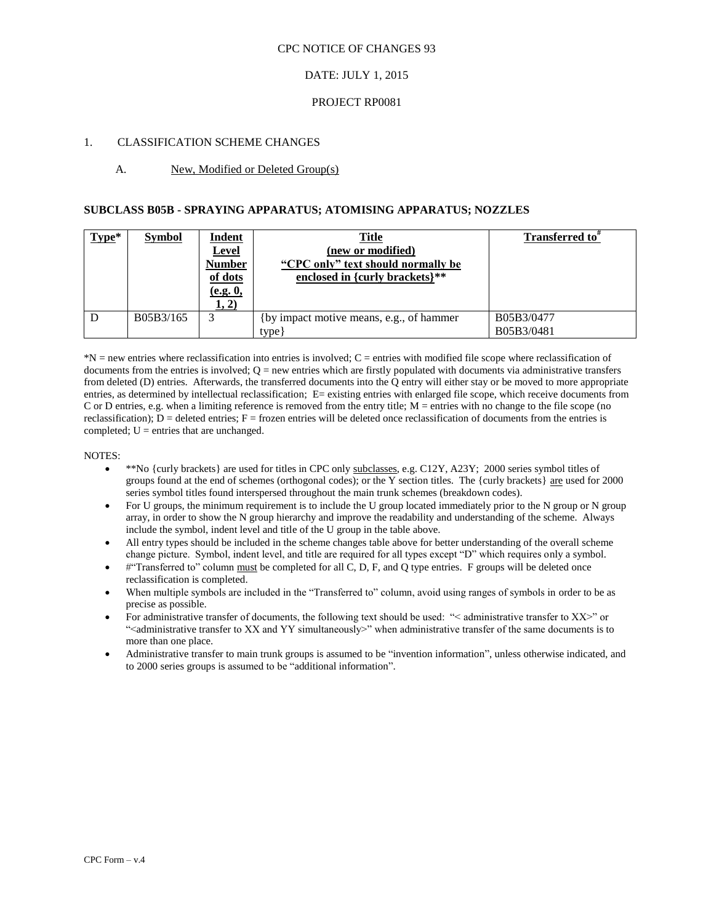# DATE: JULY 1, 2015

### PROJECT RP0081

### 1. CLASSIFICATION SCHEME CHANGES

### A. New, Modified or Deleted Group(s)

### **SUBCLASS B05B - SPRAYING APPARATUS; ATOMISING APPARATUS; NOZZLES**

| $Type*$ | <b>Symbol</b> | <b>Indent</b><br><u>Level</u><br><b>Number</b><br>of dots<br>(e.g. 0,<br>1, 2) | <u>Title</u><br>(new or modified)<br>"CPC only" text should normally be<br>enclosed in {curly brackets}** | <b>Transferred to</b> "  |
|---------|---------------|--------------------------------------------------------------------------------|-----------------------------------------------------------------------------------------------------------|--------------------------|
|         | B05B3/165     | 3                                                                              | (by impact motive means, e.g., of hammer)<br>type                                                         | B05B3/0477<br>B05B3/0481 |

\*N = new entries where reclassification into entries is involved; C = entries with modified file scope where reclassification of documents from the entries is involved;  $Q = new$  entries which are firstly populated with documents via administrative transfers from deleted (D) entries. Afterwards, the transferred documents into the Q entry will either stay or be moved to more appropriate entries, as determined by intellectual reclassification; E= existing entries with enlarged file scope, which receive documents from C or D entries, e.g. when a limiting reference is removed from the entry title;  $M =$  entries with no change to the file scope (no reclassification);  $D =$  deleted entries;  $F =$  frozen entries will be deleted once reclassification of documents from the entries is completed;  $U =$  entries that are unchanged.

#### NOTES:

- \*\*No {curly brackets} are used for titles in CPC only subclasses, e.g. C12Y, A23Y; 2000 series symbol titles of groups found at the end of schemes (orthogonal codes); or the Y section titles. The {curly brackets} are used for 2000 series symbol titles found interspersed throughout the main trunk schemes (breakdown codes).
- For U groups, the minimum requirement is to include the U group located immediately prior to the N group or N group array, in order to show the N group hierarchy and improve the readability and understanding of the scheme. Always include the symbol, indent level and title of the U group in the table above.
- All entry types should be included in the scheme changes table above for better understanding of the overall scheme change picture. Symbol, indent level, and title are required for all types except "D" which requires only a symbol.
- #"Transferred to" column must be completed for all C, D, F, and Q type entries. F groups will be deleted once reclassification is completed.
- When multiple symbols are included in the "Transferred to" column, avoid using ranges of symbols in order to be as precise as possible.
- For administrative transfer of documents, the following text should be used: "< administrative transfer to XX>" or "<administrative transfer to XX and YY simultaneously>" when administrative transfer of the same documents is to more than one place.
- Administrative transfer to main trunk groups is assumed to be "invention information", unless otherwise indicated, and to 2000 series groups is assumed to be "additional information".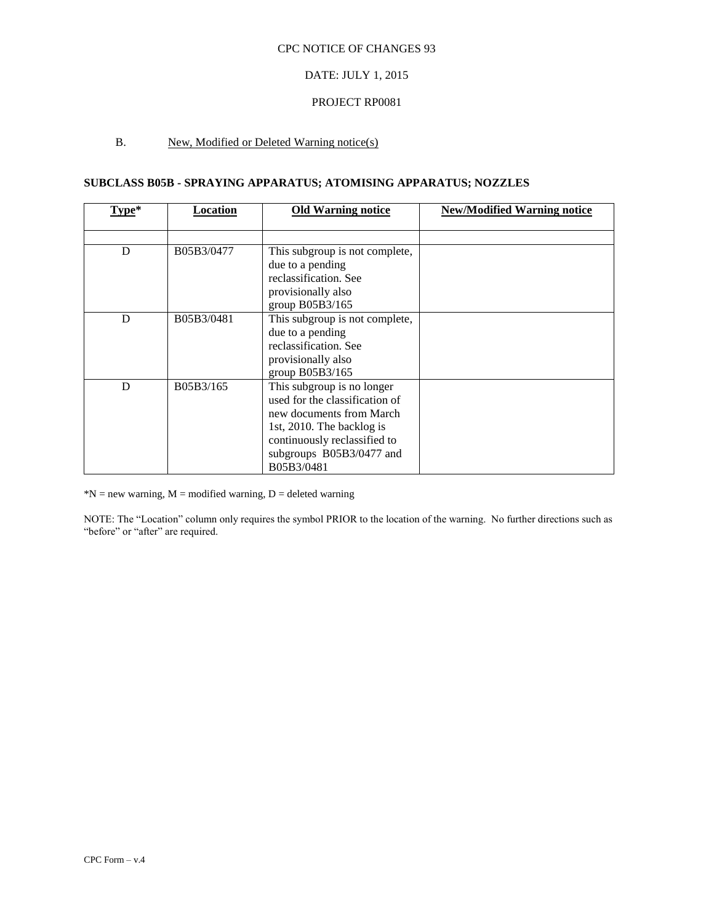# DATE: JULY 1, 2015

### PROJECT RP0081

# B. New, Modified or Deleted Warning notice(s)

# **SUBCLASS B05B - SPRAYING APPARATUS; ATOMISING APPARATUS; NOZZLES**

| Type* | Location   | <b>Old Warning notice</b>      | <b>New/Modified Warning notice</b> |
|-------|------------|--------------------------------|------------------------------------|
|       |            |                                |                                    |
| D     | B05B3/0477 | This subgroup is not complete, |                                    |
|       |            | due to a pending               |                                    |
|       |            | reclassification. See          |                                    |
|       |            | provisionally also             |                                    |
|       |            | group B05B3/165                |                                    |
| D     | B05B3/0481 | This subgroup is not complete, |                                    |
|       |            | due to a pending               |                                    |
|       |            | reclassification. See          |                                    |
|       |            | provisionally also             |                                    |
|       |            | group B05B3/165                |                                    |
| D     | B05B3/165  | This subgroup is no longer     |                                    |
|       |            | used for the classification of |                                    |
|       |            | new documents from March       |                                    |
|       |            | 1st, 2010. The backlog is      |                                    |
|       |            | continuously reclassified to   |                                    |
|       |            | subgroups B05B3/0477 and       |                                    |
|       |            | B05B3/0481                     |                                    |

 $N = new warning, M = modified warning, D = deleted warning$ 

NOTE: The "Location" column only requires the symbol PRIOR to the location of the warning. No further directions such as "before" or "after" are required.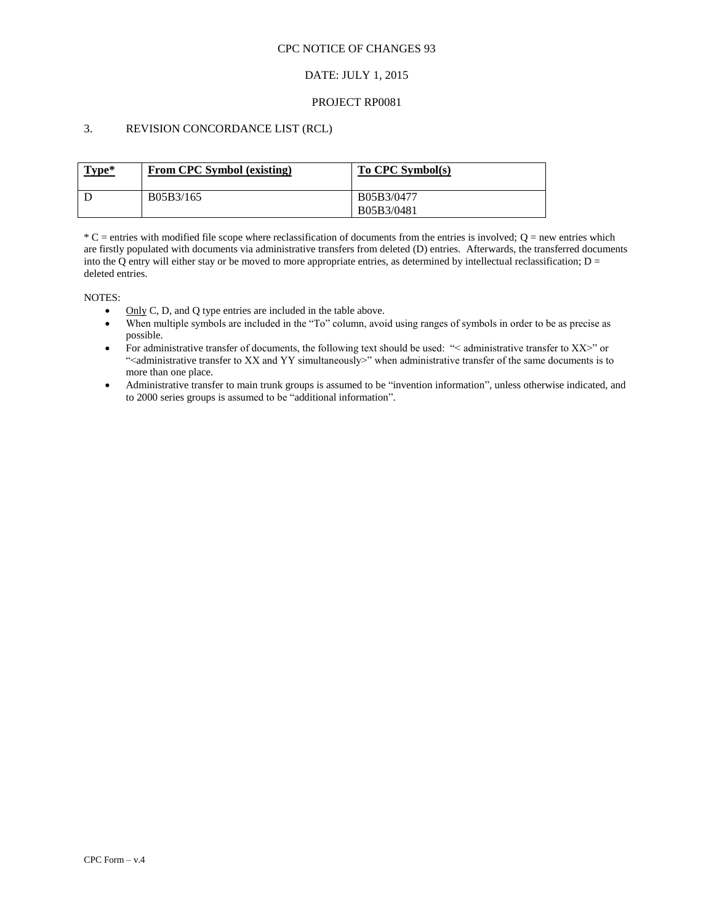# DATE: JULY 1, 2015

### PROJECT RP0081

# 3. REVISION CONCORDANCE LIST (RCL)

| Type* | From CPC Symbol (existing) | To CPC Symbol(s)         |
|-------|----------------------------|--------------------------|
|       | B05B3/165                  | B05B3/0477<br>B05B3/0481 |

 $*C$  = entries with modified file scope where reclassification of documents from the entries is involved;  $Q$  = new entries which are firstly populated with documents via administrative transfers from deleted (D) entries. Afterwards, the transferred documents into the Q entry will either stay or be moved to more appropriate entries, as determined by intellectual reclassification;  $D =$ deleted entries.

NOTES:

- Only C, D, and O type entries are included in the table above.
- When multiple symbols are included in the "To" column, avoid using ranges of symbols in order to be as precise as possible.
- For administrative transfer of documents, the following text should be used: "< administrative transfer to XX>" or "<administrative transfer to XX and YY simultaneously>" when administrative transfer of the same documents is to more than one place.
- Administrative transfer to main trunk groups is assumed to be "invention information", unless otherwise indicated, and to 2000 series groups is assumed to be "additional information".